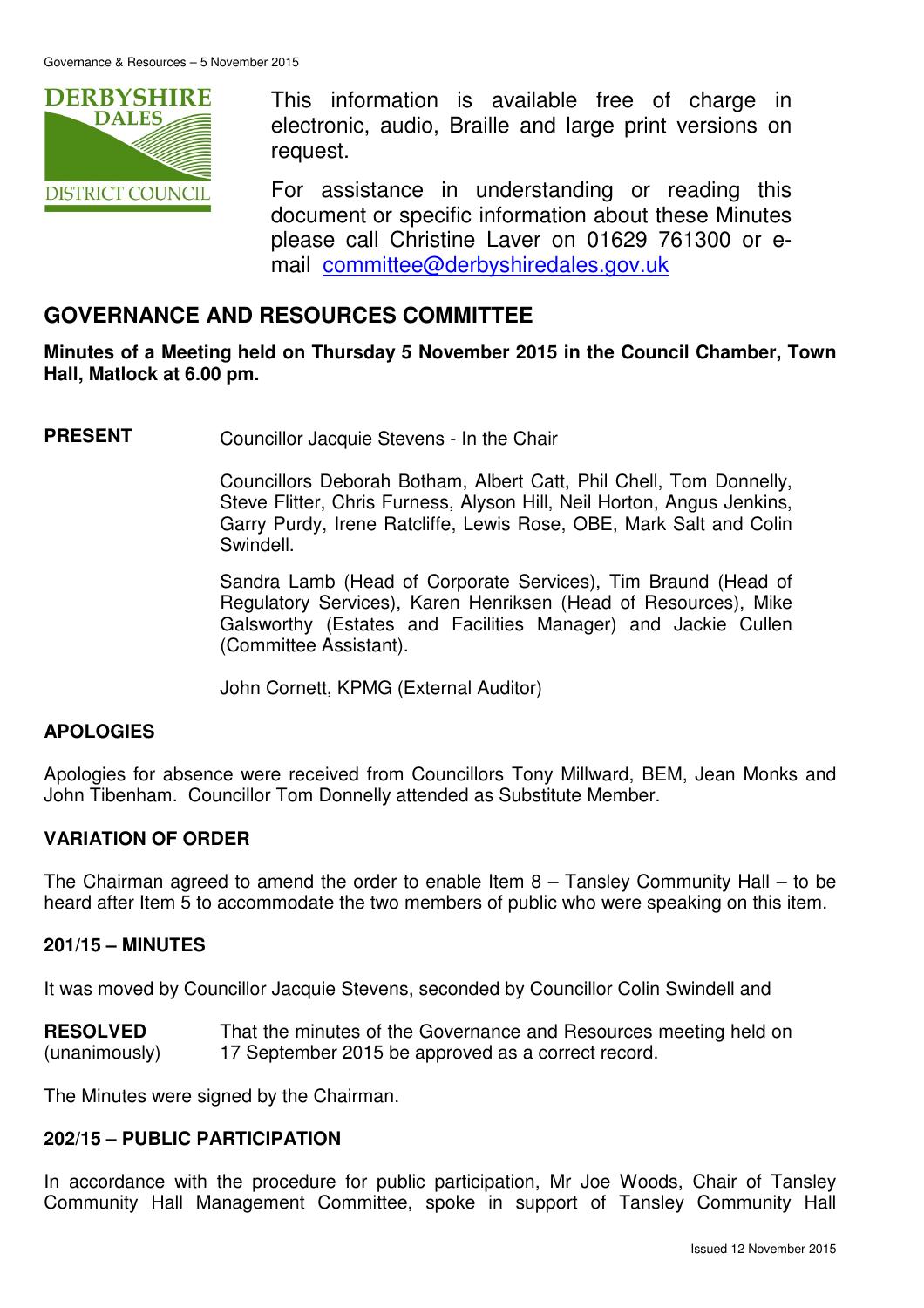

This information is available free of charge in electronic, audio, Braille and large print versions on request.

For assistance in understanding or reading this document or specific information about these Minutes please call Christine Laver on 01629 761300 or email committee@derbyshiredales.gov.uk

# **GOVERNANCE AND RESOURCES COMMITTEE**

**Minutes of a Meeting held on Thursday 5 November 2015 in the Council Chamber, Town Hall, Matlock at 6.00 pm.** 

**PRESENT** Councillor Jacquie Stevens - In the Chair

 Councillors Deborah Botham, Albert Catt, Phil Chell, Tom Donnelly, Steve Flitter, Chris Furness, Alyson Hill, Neil Horton, Angus Jenkins, Garry Purdy, Irene Ratcliffe, Lewis Rose, OBE, Mark Salt and Colin Swindell.

 Sandra Lamb (Head of Corporate Services), Tim Braund (Head of Regulatory Services), Karen Henriksen (Head of Resources), Mike Galsworthy (Estates and Facilities Manager) and Jackie Cullen (Committee Assistant).

John Cornett, KPMG (External Auditor)

### **APOLOGIES**

Apologies for absence were received from Councillors Tony Millward, BEM, Jean Monks and John Tibenham. Councillor Tom Donnelly attended as Substitute Member.

### **VARIATION OF ORDER**

The Chairman agreed to amend the order to enable Item  $8 -$  Tansley Community Hall – to be heard after Item 5 to accommodate the two members of public who were speaking on this item.

### **201/15 – MINUTES**

It was moved by Councillor Jacquie Stevens, seconded by Councillor Colin Swindell and

**RESOLVED** (unanimously) That the minutes of the Governance and Resources meeting held on 17 September 2015 be approved as a correct record.

The Minutes were signed by the Chairman.

### **202/15 – PUBLIC PARTICIPATION**

In accordance with the procedure for public participation, Mr Joe Woods, Chair of Tansley Community Hall Management Committee, spoke in support of Tansley Community Hall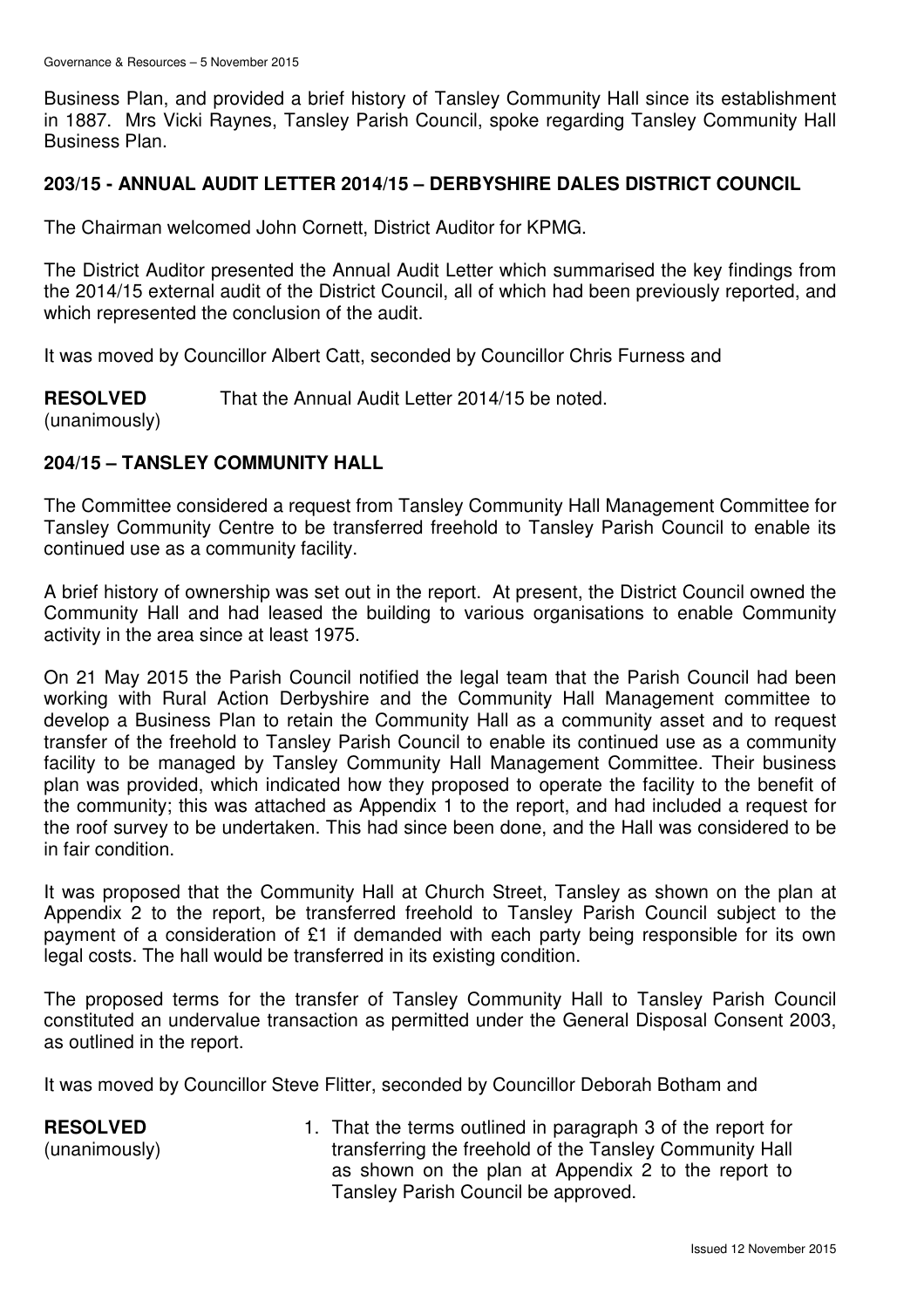Business Plan, and provided a brief history of Tansley Community Hall since its establishment in 1887. Mrs Vicki Raynes, Tansley Parish Council, spoke regarding Tansley Community Hall Business Plan.

### **203/15 - ANNUAL AUDIT LETTER 2014/15 – DERBYSHIRE DALES DISTRICT COUNCIL**

The Chairman welcomed John Cornett, District Auditor for KPMG.

The District Auditor presented the Annual Audit Letter which summarised the key findings from the 2014/15 external audit of the District Council, all of which had been previously reported, and which represented the conclusion of the audit.

It was moved by Councillor Albert Catt, seconded by Councillor Chris Furness and

**RESOLVED** (unanimously) That the Annual Audit Letter 2014/15 be noted.

### **204/15 – TANSLEY COMMUNITY HALL**

The Committee considered a request from Tansley Community Hall Management Committee for Tansley Community Centre to be transferred freehold to Tansley Parish Council to enable its continued use as a community facility.

A brief history of ownership was set out in the report. At present, the District Council owned the Community Hall and had leased the building to various organisations to enable Community activity in the area since at least 1975.

On 21 May 2015 the Parish Council notified the legal team that the Parish Council had been working with Rural Action Derbyshire and the Community Hall Management committee to develop a Business Plan to retain the Community Hall as a community asset and to request transfer of the freehold to Tansley Parish Council to enable its continued use as a community facility to be managed by Tansley Community Hall Management Committee. Their business plan was provided, which indicated how they proposed to operate the facility to the benefit of the community; this was attached as Appendix 1 to the report, and had included a request for the roof survey to be undertaken. This had since been done, and the Hall was considered to be in fair condition.

It was proposed that the Community Hall at Church Street, Tansley as shown on the plan at Appendix 2 to the report, be transferred freehold to Tansley Parish Council subject to the payment of a consideration of £1 if demanded with each party being responsible for its own legal costs. The hall would be transferred in its existing condition.

The proposed terms for the transfer of Tansley Community Hall to Tansley Parish Council constituted an undervalue transaction as permitted under the General Disposal Consent 2003, as outlined in the report.

It was moved by Councillor Steve Flitter, seconded by Councillor Deborah Botham and

**RESOLVED** (unanimously) 1. That the terms outlined in paragraph 3 of the report for transferring the freehold of the Tansley Community Hall as shown on the plan at Appendix 2 to the report to Tansley Parish Council be approved.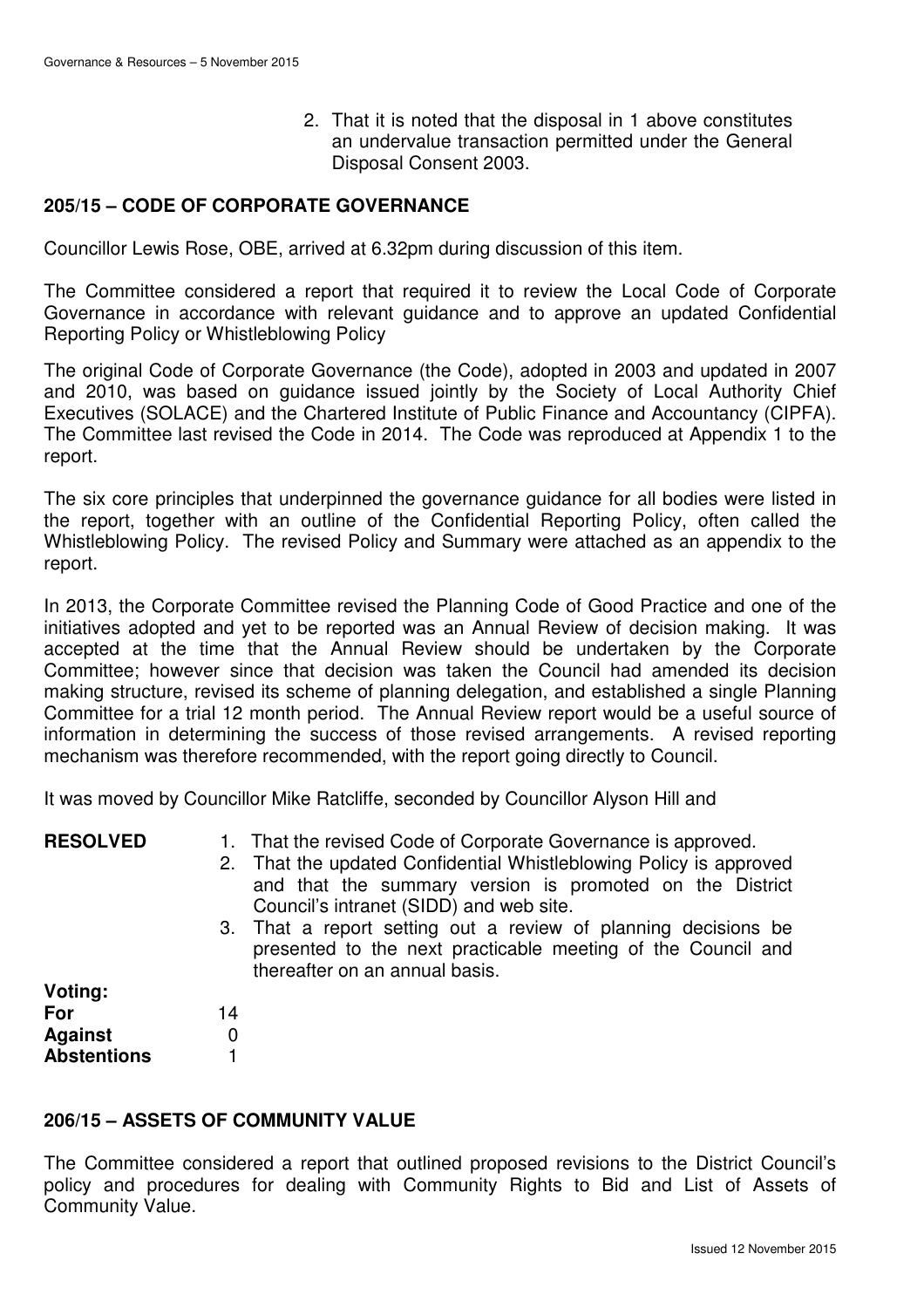2. That it is noted that the disposal in 1 above constitutes an undervalue transaction permitted under the General Disposal Consent 2003.

### **205/15 – CODE OF CORPORATE GOVERNANCE**

Councillor Lewis Rose, OBE, arrived at 6.32pm during discussion of this item.

The Committee considered a report that required it to review the Local Code of Corporate Governance in accordance with relevant guidance and to approve an updated Confidential Reporting Policy or Whistleblowing Policy

The original Code of Corporate Governance (the Code), adopted in 2003 and updated in 2007 and 2010, was based on guidance issued jointly by the Society of Local Authority Chief Executives (SOLACE) and the Chartered Institute of Public Finance and Accountancy (CIPFA). The Committee last revised the Code in 2014. The Code was reproduced at Appendix 1 to the report.

The six core principles that underpinned the governance guidance for all bodies were listed in the report, together with an outline of the Confidential Reporting Policy, often called the Whistleblowing Policy. The revised Policy and Summary were attached as an appendix to the report.

In 2013, the Corporate Committee revised the Planning Code of Good Practice and one of the initiatives adopted and yet to be reported was an Annual Review of decision making. It was accepted at the time that the Annual Review should be undertaken by the Corporate Committee; however since that decision was taken the Council had amended its decision making structure, revised its scheme of planning delegation, and established a single Planning Committee for a trial 12 month period. The Annual Review report would be a useful source of information in determining the success of those revised arrangements. A revised reporting mechanism was therefore recommended, with the report going directly to Council.

It was moved by Councillor Mike Ratcliffe, seconded by Councillor Alyson Hill and

- **RESOLVED** 1. That the revised Code of Corporate Governance is approved.
	- 2. That the updated Confidential Whistleblowing Policy is approved and that the summary version is promoted on the District Council's intranet (SIDD) and web site.
	- 3. That a report setting out a review of planning decisions be presented to the next practicable meeting of the Council and thereafter on an annual basis.

| Voting:            |    |
|--------------------|----|
| For                | 14 |
| Against            | O  |
| <b>Abstentions</b> |    |

### **206/15 – ASSETS OF COMMUNITY VALUE**

The Committee considered a report that outlined proposed revisions to the District Council's policy and procedures for dealing with Community Rights to Bid and List of Assets of Community Value.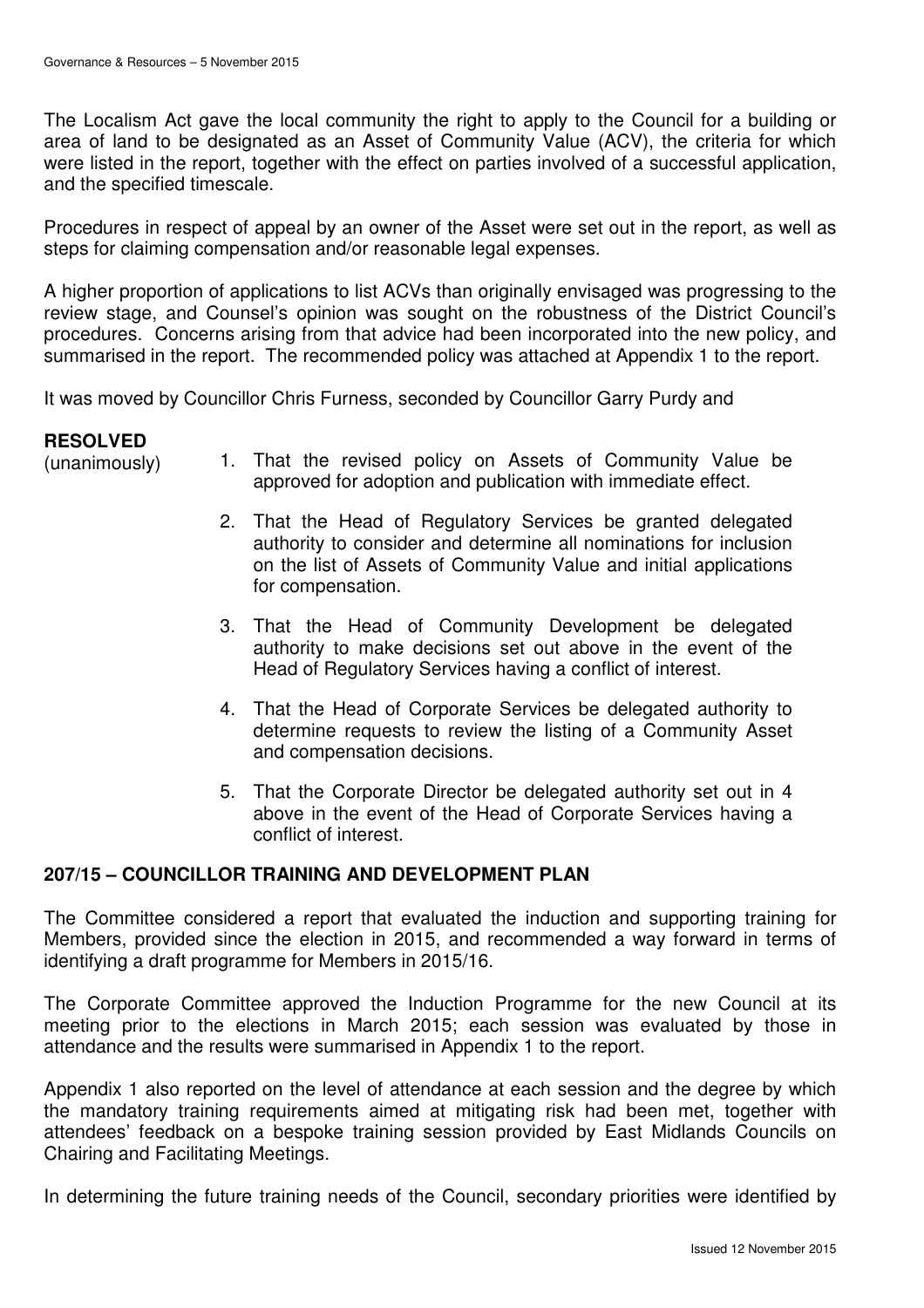The Localism Act gave the local community the right to apply to the Council for a building or area of land to be designated as an Asset of Community Value (ACV), the criteria for which were listed in the report, together with the effect on parties involved of a successful application, and the specified timescale.

Procedures in respect of appeal by an owner of the Asset were set out in the report, as well as steps for claiming compensation and/or reasonable legal expenses.

A higher proportion of applications to list ACVs than originally envisaged was progressing to the review stage, and Counsel's opinion was sought on the robustness of the District Council's procedures. Concerns arising from that advice had been incorporated into the new policy, and summarised in the report. The recommended policy was attached at Appendix 1 to the report.

It was moved by Councillor Chris Furness, seconded by Councillor Garry Purdy and

## **RESOLVED**

- (unanimously) 1. That the revised policy on Assets of Community Value be approved for adoption and publication with immediate effect.
	- 2. That the Head of Regulatory Services be granted delegated authority to consider and determine all nominations for inclusion on the list of Assets of Community Value and initial applications for compensation.
	- 3. That the Head of Community Development be delegated authority to make decisions set out above in the event of the Head of Regulatory Services having a conflict of interest.
	- 4. That the Head of Corporate Services be delegated authority to determine requests to review the listing of a Community Asset and compensation decisions.
	- 5. That the Corporate Director be delegated authority set out in 4 above in the event of the Head of Corporate Services having a conflict of interest.

## **207/15 – COUNCILLOR TRAINING AND DEVELOPMENT PLAN**

The Committee considered a report that evaluated the induction and supporting training for Members, provided since the election in 2015, and recommended a way forward in terms of identifying a draft programme for Members in 2015/16.

The Corporate Committee approved the Induction Programme for the new Council at its meeting prior to the elections in March 2015; each session was evaluated by those in attendance and the results were summarised in Appendix 1 to the report.

Appendix 1 also reported on the level of attendance at each session and the degree by which the mandatory training requirements aimed at mitigating risk had been met, together with attendees' feedback on a bespoke training session provided by East Midlands Councils on Chairing and Facilitating Meetings.

In determining the future training needs of the Council, secondary priorities were identified by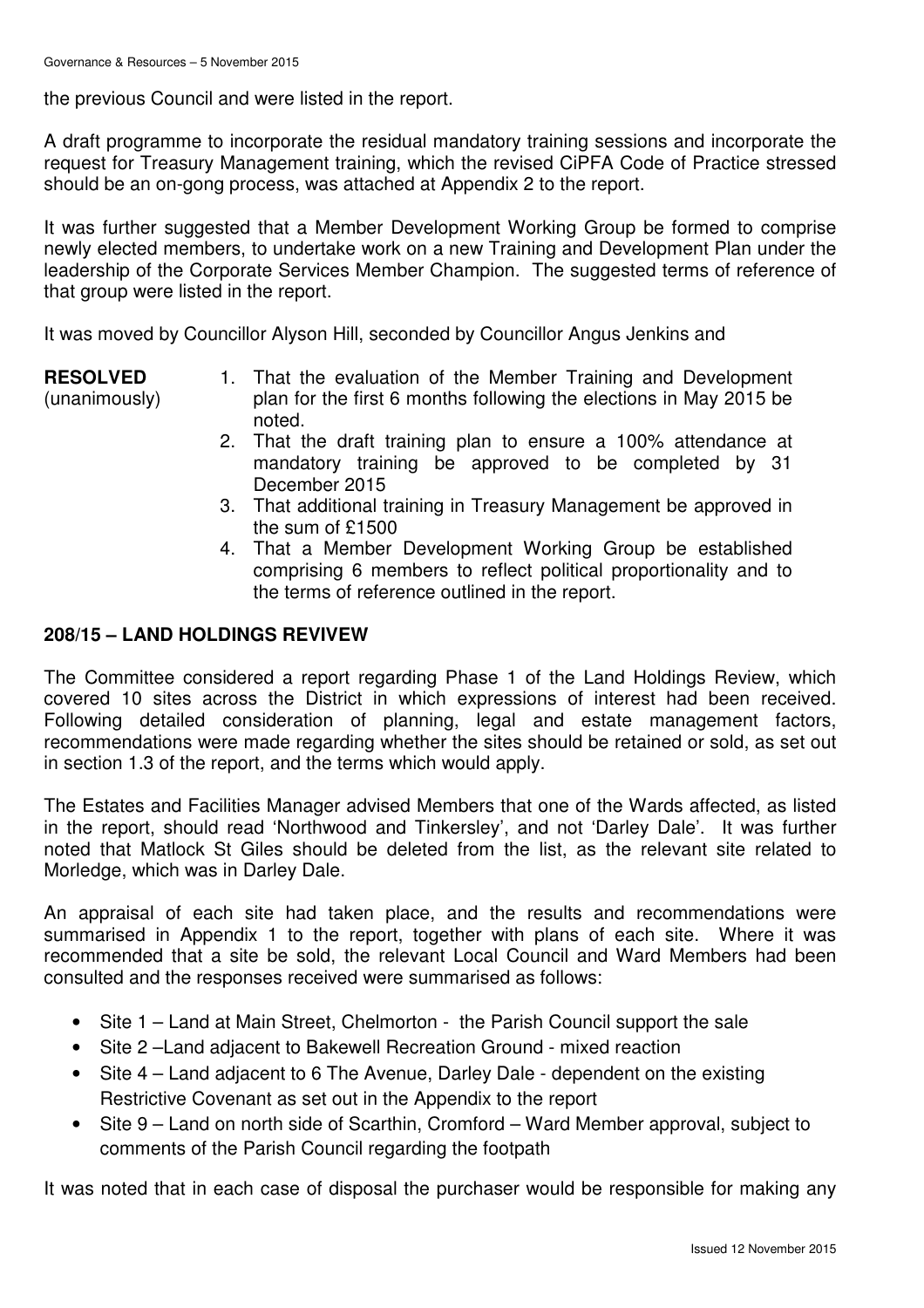the previous Council and were listed in the report.

A draft programme to incorporate the residual mandatory training sessions and incorporate the request for Treasury Management training, which the revised CiPFA Code of Practice stressed should be an on-gong process, was attached at Appendix 2 to the report.

It was further suggested that a Member Development Working Group be formed to comprise newly elected members, to undertake work on a new Training and Development Plan under the leadership of the Corporate Services Member Champion. The suggested terms of reference of that group were listed in the report.

It was moved by Councillor Alyson Hill, seconded by Councillor Angus Jenkins and

**RESOLVED** (unanimously)

- 1. That the evaluation of the Member Training and Development plan for the first 6 months following the elections in May 2015 be noted.
- 2. That the draft training plan to ensure a 100% attendance at mandatory training be approved to be completed by 31 December 2015
- 3. That additional training in Treasury Management be approved in the sum of £1500
- 4. That a Member Development Working Group be established comprising 6 members to reflect political proportionality and to the terms of reference outlined in the report.

### **208/15 – LAND HOLDINGS REVIVEW**

The Committee considered a report regarding Phase 1 of the Land Holdings Review, which covered 10 sites across the District in which expressions of interest had been received. Following detailed consideration of planning, legal and estate management factors, recommendations were made regarding whether the sites should be retained or sold, as set out in section 1.3 of the report, and the terms which would apply.

The Estates and Facilities Manager advised Members that one of the Wards affected, as listed in the report, should read 'Northwood and Tinkersley', and not 'Darley Dale'. It was further noted that Matlock St Giles should be deleted from the list, as the relevant site related to Morledge, which was in Darley Dale.

An appraisal of each site had taken place, and the results and recommendations were summarised in Appendix 1 to the report, together with plans of each site. Where it was recommended that a site be sold, the relevant Local Council and Ward Members had been consulted and the responses received were summarised as follows:

- Site 1 Land at Main Street, Chelmorton the Parish Council support the sale
- Site 2 –Land adjacent to Bakewell Recreation Ground mixed reaction
- Site 4 Land adjacent to 6 The Avenue, Darley Dale dependent on the existing Restrictive Covenant as set out in the Appendix to the report
- Site 9 Land on north side of Scarthin, Cromford Ward Member approval, subject to comments of the Parish Council regarding the footpath

It was noted that in each case of disposal the purchaser would be responsible for making any